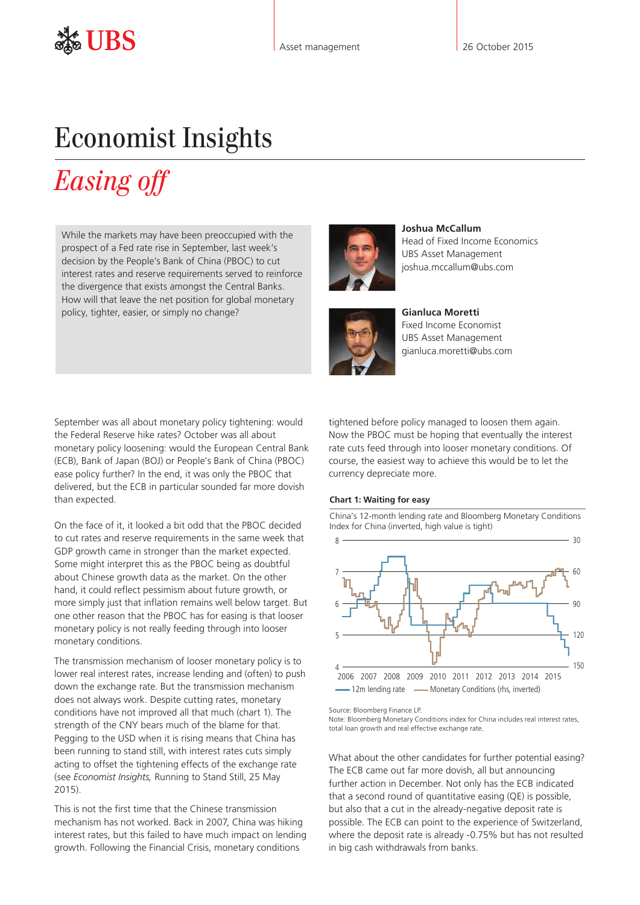## Economist Insights

# *Easing off*

While the markets may have been preoccupied with the prospect of a Fed rate rise in September, last week's decision by the People's Bank of China (PBOC) to cut interest rates and reserve requirements served to reinforce the divergence that exists amongst the Central Banks. How will that leave the net position for global monetary policy, tighter, easier, or simply no change?



**Joshua McCallum** Head of Fixed Income Economics UBS Asset Management joshua.mccallum@ubs.com



**Gianluca Moretti**  Fixed Income Economist UBS Asset Management gianluca.moretti@ubs.com

September was all about monetary policy tightening: would the Federal Reserve hike rates? October was all about monetary policy loosening: would the European Central Bank (ECB), Bank of Japan (BOJ) or People's Bank of China (PBOC) ease policy further? In the end, it was only the PBOC that delivered, but the ECB in particular sounded far more dovish than expected.

On the face of it, it looked a bit odd that the PBOC decided to cut rates and reserve requirements in the same week that GDP growth came in stronger than the market expected. Some might interpret this as the PBOC being as doubtful about Chinese growth data as the market. On the other hand, it could reflect pessimism about future growth, or more simply just that inflation remains well below target. But one other reason that the PBOC has for easing is that looser monetary policy is not really feeding through into looser monetary conditions.

The transmission mechanism of looser monetary policy is to lower real interest rates, increase lending and (often) to push down the exchange rate. But the transmission mechanism does not always work. Despite cutting rates, monetary conditions have not improved all that much (chart 1). The strength of the CNY bears much of the blame for that. Pegging to the USD when it is rising means that China has been running to stand still, with interest rates cuts simply acting to offset the tightening effects of the exchange rate (see *Economist Insights,* [Running to Stand Still,](http://www.ubs.com/content/dam/static/asset_management/global/research/insights/economist-insights-20150525.pdf) 25 May  $2015$ 

This is not the first time that the Chinese transmission mechanism has not worked. Back in 2007, China was hiking interest rates, but this failed to have much impact on lending growth. Following the Financial Crisis, monetary conditions

tightened before policy managed to loosen them again. Now the PBOC must be hoping that eventually the interest rate cuts feed through into looser monetary conditions. Of course, the easiest way to achieve this would be to let the currency depreciate more.

#### **Chart 1: Waiting for easy**

China's 12-month lending rate and Bloomberg Monetary Conditions Index for China (inverted, high value is tight)



Source: Bloomberg Finance LP.

Note: Bloomberg Monetary Conditions index for China includes real interest rates, total loan growth and real effective exchange rate.

What about the other candidates for further potential easing? The ECB came out far more dovish, all but announcing further action in December. Not only has the ECB indicated that a second round of quantitative easing (QE) is possible, but also that a cut in the already-negative deposit rate is possible. The ECB can point to the experience of Switzerland, where the deposit rate is already -0.75% but has not resulted in big cash withdrawals from banks.